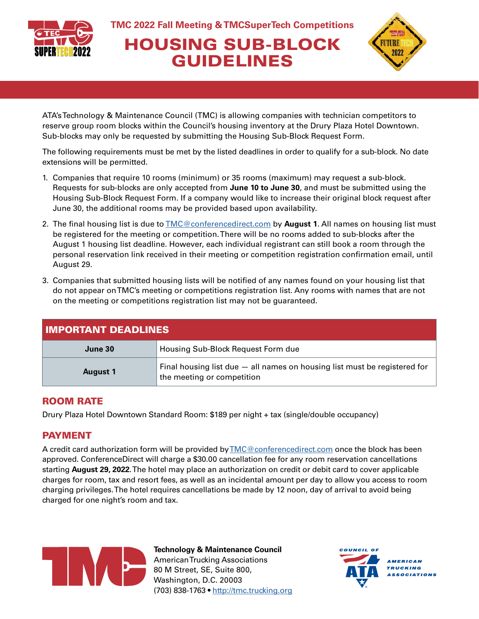

# HOUSING SUB-BLOCK GUIDELINES



ATA's Technology & Maintenance Council (TMC) is allowing companies with technician competitors to reserve group room blocks within the Council's housing inventory at the Drury Plaza Hotel Downtown. Sub-blocks may only be requested by submitting the Housing Sub-Block Request Form.

The following requirements must be met by the listed deadlines in order to qualify for a sub-block. No date extensions will be permitted.

- 1. Companies that require 10 rooms (minimum) or 35 rooms (maximum) may request a sub-block. Requests for sub-blocks are only accepted from **June 10 to June 30**, and must be submitted using the Housing Sub-Block Request Form. If a company would like to increase their original block request after June 30, the additional rooms may be provided based upon availability.
- 2. The final housing list is due to [TMC@conferencedirect.com](mailto:TMC%40conferencedirect.com?subject=) by **August 1**. All names on housing list must be registered for the meeting or competition. There will be no rooms added to sub-blocks after the August 1 housing list deadline. However, each individual registrant can still book a room through the personal reservation link received in their meeting or competition registration confirmation email, until August 29.
- 3. Companies that submitted housing lists will be notified of any names found on your housing list that do not appear on TMC's meeting or competitions registration list. Any rooms with names that are not on the meeting or competitions registration list may not be guaranteed.

| <b>IMPORTANT DEADLINES</b> |                                                                                                           |  |  |  |
|----------------------------|-----------------------------------------------------------------------------------------------------------|--|--|--|
| June 30                    | Housing Sub-Block Request Form due                                                                        |  |  |  |
| <b>August 1</b>            | Final housing list due $-$ all names on housing list must be registered for<br>the meeting or competition |  |  |  |

### ROOM RATE

Drury Plaza Hotel Downtown Standard Room: \$189 per night + tax (single/double occupancy)

### PAYMENT

A credit card authorization form will be provided by [TMC@conferencedirect.com](mailto:TMC%40conferencedirect.com?subject=) once the block has been approved. ConferenceDirect will charge a \$30.00 cancellation fee for any room reservation cancellations starting **August 29, 2022**. The hotel may place an authorization on credit or debit card to cover applicable charges for room, tax and resort fees, as well as an incidental amount per day to allow you access to room charging privileges. The hotel requires cancellations be made by 12 noon, day of arrival to avoid being charged for one night's room and tax.



**Technology & Maintenance Council** American Trucking Associations 80 M Street, SE, Suite 800, Washington, D.C. 20003 (703) 838-1763 • <http://tmc.trucking.org>